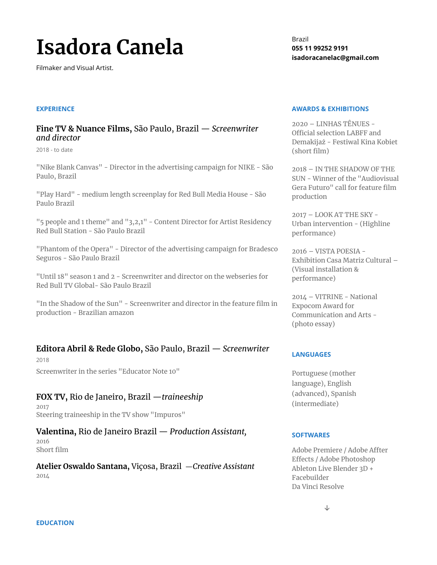# **Isadora Canela**

Filmaker and Visual Artist.

#### Brazil **055 11 99252 9191 isadoracanelac@gmail.com**

#### **EXPERIENCE**

### **Fine TV & Nuance Films,** São Paulo, Brazil — *Screenwriter and director*

2018 - to date

"Nike Blank Canvas" - Director in the advertising campaign for NIKE - São Paulo, Brazil

"Play Hard" - medium length screenplay for Red Bull Media House - São Paulo Brazil

"5 people and 1 theme" and "3,2,1" - Content Director for Artist Residency Red Bull Station - São Paulo Brazil

"Phantom of the Opera" - Director of the advertising campaign for Bradesco Seguros - São Paulo Brazil

"Until 18" season 1 and 2 - Screenwriter and director on the webseries for Red Bull TV Global- São Paulo Brazil

"In the Shadow of the Sun" - Screenwriter and director in the feature film in production - Brazilian amazon

## **Editora Abril & Rede Globo,** São Paulo, Brazil — *Screenwriter*

2018 Screenwriter in the series "Educator Note 10"

## **FOX TV,** Rio de Janeiro, Brazil —*traineeship*

2017 Steering traineeship in the TV show "Impuros"

**Valentina,** Rio de Janeiro Brazil — *Production Assistant,* 2016

Short film

**Atelier Oswaldo Santana,** Viçosa, Brazil —*Creative Assistant* 2014

#### **AWARDS & EXHIBITIONS**

2020 – LINHAS TÊNUES - Official selection LABFF and Demakijaż - Festiwal Kina Kobiet (short film)

2018 – IN THE SHADOW OF THE SUN - Winner of the "Audiovisual Gera Futuro" call for feature film production

2017 – LOOK AT THE SKY - Urban intervention - (Highline performance)

2016 – VISTA POESIA - Exhibition Casa Matriz Cultural – (Visual installation & performance)

2014 – VITRINE - National Expocom Award for Communication and Arts - (photo essay)

#### **LANGUAGES**

Portuguese (mother language), English (advanced), Spanish (intermediate)

#### **SOFTWARES**

Adobe Premiere / Adobe Affter Effects / Adobe Photoshop Ableton Live Blender 3D + Facebuilder Da Vinci Resolve